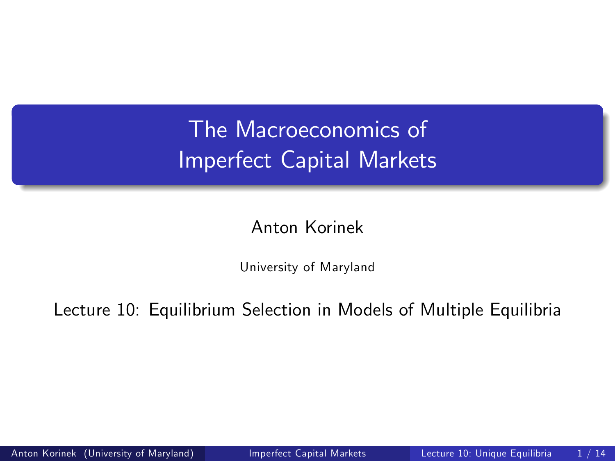# The Macroeconomics of Imperfect Capital Markets

Anton Korinek

<span id="page-0-0"></span>University of Maryland

Lecture 10: Equilibrium Selection in Models of Multiple Equilibria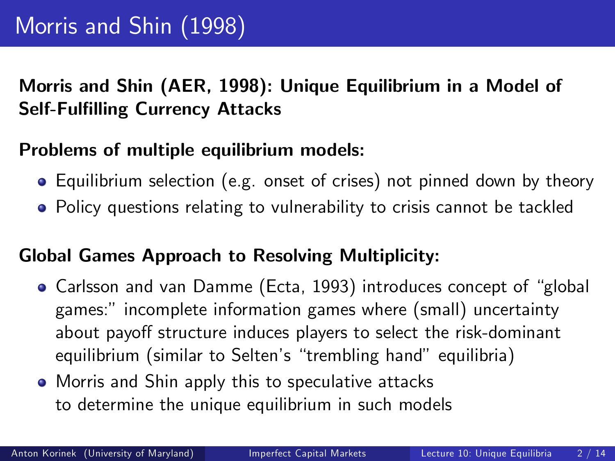## Morris and Shin (AER, 1998): Unique Equilibrium in a Model of Self-Fulfilling Currency Attacks

## Problems of multiple equilibrium models:

- Equilibrium selection (e.g. onset of crises) not pinned down by theory
- Policy questions relating to vulnerability to crisis cannot be tackled

#### Global Games Approach to Resolving Multiplicity:

- Carlsson and van Damme (Ecta, 1993) introduces concept of "global games:î incomplete information games where (small) uncertainty about payoff structure induces players to select the risk-dominant equilibrium (similar to Selten's "trembling hand" equilibria)
- Morris and Shin apply this to speculative attacks to determine the unique equilibrium in such models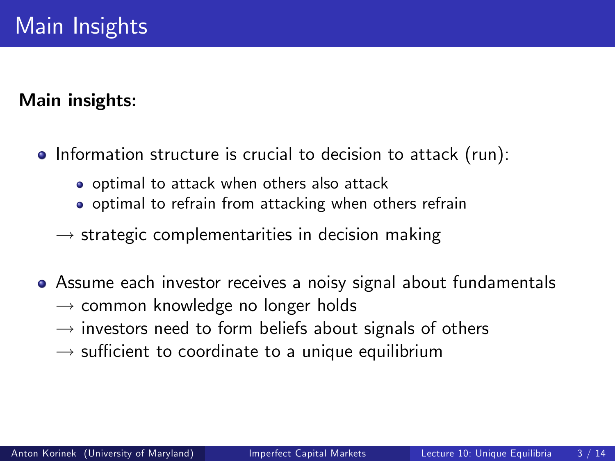#### Main insights:

- Information structure is crucial to decision to attack (run):
	- o optimal to attack when others also attack
	- o optimal to refrain from attacking when others refrain
	- $\rightarrow$  strategic complementarities in decision making
- Assume each investor receives a noisy signal about fundamentals
	- $\rightarrow$  common knowledge no longer holds
	- $\rightarrow$  investors need to form beliefs about signals of others
	- $\rightarrow$  sufficient to coordinate to a unique equilibrium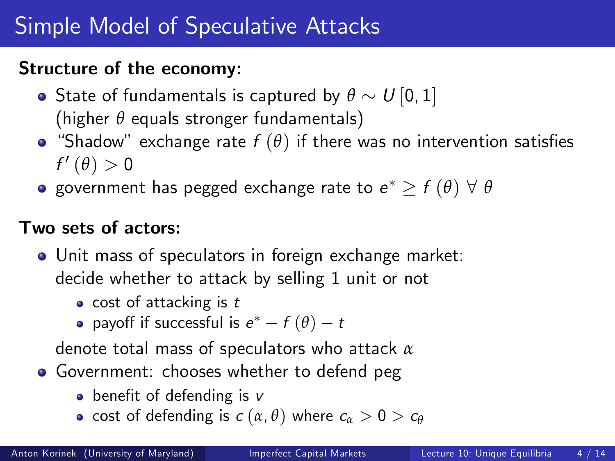#### Structure of the economy:

- State of fundamentals is captured by  $\theta \sim U[0,1]$ (higher *θ* equals stronger fundamentals)
- "Shadow" exchange rate  $f(\theta)$  if there was no intervention satisfies  $f'(\theta)>0$
- government has pegged exchange rate to  $e^* \geq f(\theta) \; \forall \; \theta$

### Two sets of actors:

- Unit mass of speculators in foreign exchange market: decide whether to attack by selling 1 unit or not
	- $\bullet$  cost of attacking is t
	- payoff if successful is  $e^* f(\theta) t$

denote total mass of speculators who attack *α*

- Government: chooses whether to defend peg
	- benefit of defending is  $v$
	- **•** cost of defending is  $c(\alpha, \theta)$  where  $c_{\alpha} > 0 > c_{\theta}$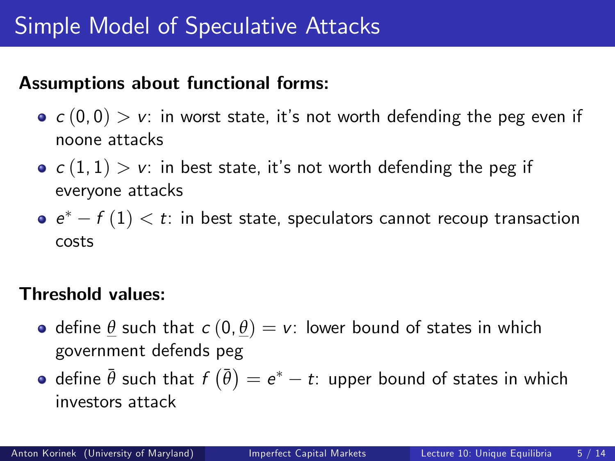#### Assumptions about functional forms:

- $c(0, 0) > v$ : in worst state, it's not worth defending the peg even if noone attacks
- $c(1, 1) > v$ : in best state, it's not worth defending the peg if everyone attacks
- $e^* f(1) < t$ : in best state, speculators cannot recoup transaction costs

#### Threshold values:

- define  $\theta$  such that  $c$   $(0, \theta) = v$ : lower bound of states in which government defends peg
- $\det$  define  $\bar{\theta}$  such that  $f\left(\bar{\theta}\right)=e^{*}-t$ : upper bound of states in which investors attack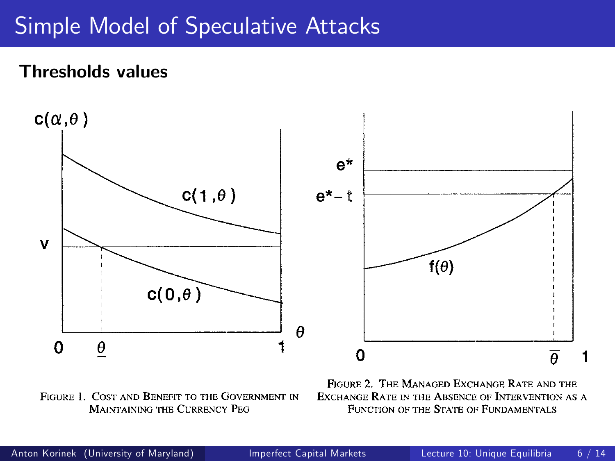#### Thresholds values



**FIGURE 1. COST AND BENEFIT TO THE GOVERNMENT IN FIGURE 1. COST AND BENEFIT TO THE GOVERNMENT IN MAINTAINING THE CURRENCY PEG MAINTAINING THE CURRENCY PEG** 

**FIGURE 2. THE MANAGED EXCHANGE RATE AND THE FIGURE 2. THE MANAGED EXCHANGE RATE AND THE EXCHANGE RATE IN THE ABSENCE OF INTERVENTION AS A EXCHANGE RATE IN THE ABSENCE OF INTERVENTION AS A FUNCTION OF THE STATE OiF FUNDAMENTALS FUNCTION OF THE STATE OiF FUNDAMENTALS**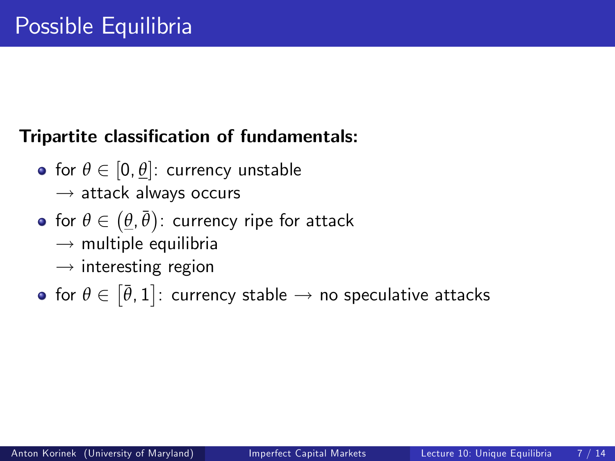## Tripartite classification of fundamentals:

- for  $\theta \in [0, \theta]$ : currency unstable
	- $\rightarrow$  attack always occurs
- $\displaystyle{{\mathsf{for}}\,\, \theta \in \big(\underline{\theta},\bar{\theta}\big) \colon}$  currency ripe for attack
	- $\rightarrow$  multiple equilibria
	- $\rightarrow$  interesting region
- for  $\theta \in \left[ \bar{\theta}, 1 \right]$ : currency stable  $\rightarrow$  no speculative attacks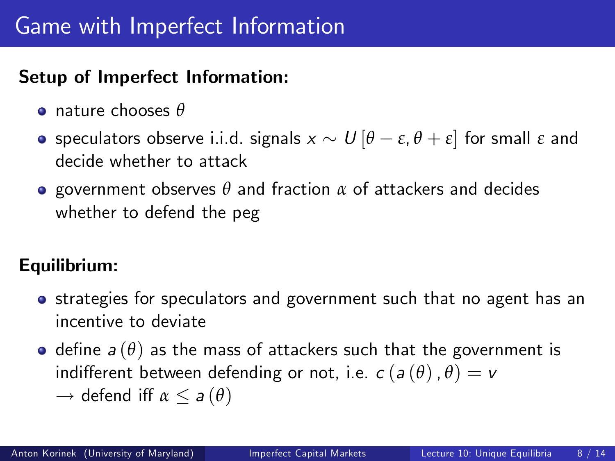# Game with Imperfect Information

## Setup of Imperfect Information:

- nature chooses *θ*
- **o** speculators observe i.i.d. signals  $x \sim U[\theta \varepsilon, \theta + \varepsilon]$  for small  $\varepsilon$  and decide whether to attack
- government observes *θ* and fraction *α* of attackers and decides whether to defend the peg

#### Equilibrium:

- **•** strategies for speculators and government such that no agent has an incentive to deviate
- $\bullet$  define  $a(\theta)$  as the mass of attackers such that the government is indifferent between defending or not, i.e.  $c(a(\theta), \theta) = v$ 
	- $\rightarrow$  defend iff  $\alpha \le a(\theta)$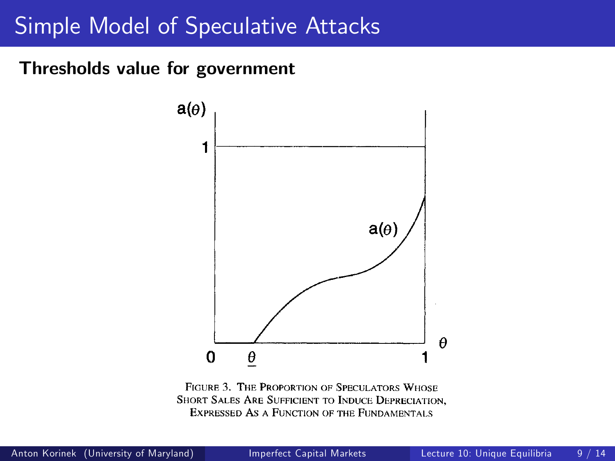#### **VOL. 88** Thresholds value for government



**FIGURE 3. THE PROPORTION OF SPECULATORS WHOSE SHORT SALES ARE SUFFICIENT TO INDUCE DEPRECIATION, EXPIRESSED AS A FUNCTION OF THE FUNDAMENTALS**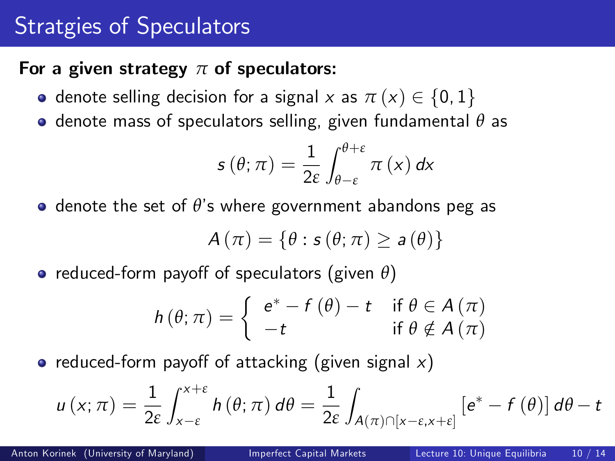# Stratgies of Speculators

#### For a given strategy *π* of speculators:

- **o** denote selling decision for a signal x as  $\pi(x) \in \{0, 1\}$
- denote mass of speculators selling, given fundamental *θ* as

$$
s(\theta; \pi) = \frac{1}{2\varepsilon} \int_{\theta-\varepsilon}^{\theta+\varepsilon} \pi(x) dx
$$

 $\bullet$  denote the set of  $\theta$ 's where government abandons peg as

$$
A(\pi) = \{\theta : s(\theta; \pi) \ge a(\theta)\}
$$

**•** reduced-form payoff of speculators (given θ)

$$
h(\theta; \pi) = \begin{cases} e^* - f(\theta) - t & \text{if } \theta \in A(\pi) \\ -t & \text{if } \theta \notin A(\pi) \end{cases}
$$

• reduced-form payoff of attacking (given signal  $x$ )

$$
u(x;\pi) = \frac{1}{2\varepsilon} \int_{x-\varepsilon}^{x+\varepsilon} h(\theta;\pi) d\theta = \frac{1}{2\varepsilon} \int_{A(\pi)\cap[x-\varepsilon,x+\varepsilon]} \left[e^* - f(\theta)\right] d\theta - t
$$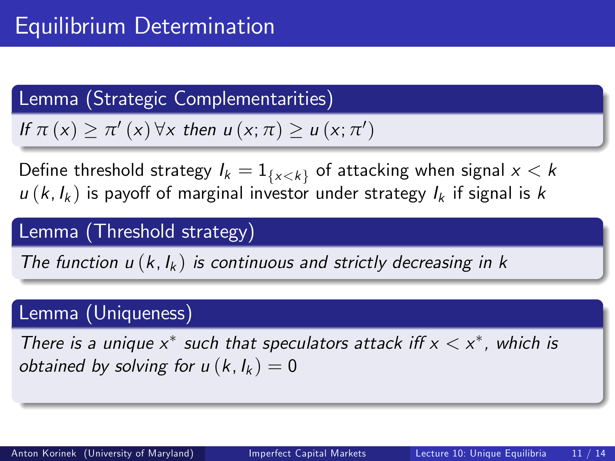## Lemma (Strategic Complementarities)

If  $\pi(x) \geq \pi'(x) \forall x$  then  $u(x; \pi) \geq u(x; \pi')$ 

Define threshold strategy  $I_k = 1_{\{x < k\}}$  of attacking when signal  $x < k$  $u(k, l_k)$  is payoff of marginal investor under strategy  $l_k$  if signal is k

## Lemma (Threshold strategy)

The function  $u(k, l_k)$  is continuous and strictly decreasing in k

#### Lemma (Uniqueness)

There is a unique  $x^*$  such that speculators attack iff  $x < x^*$ , which is obtained by solving for  $u(k, l_k) = 0$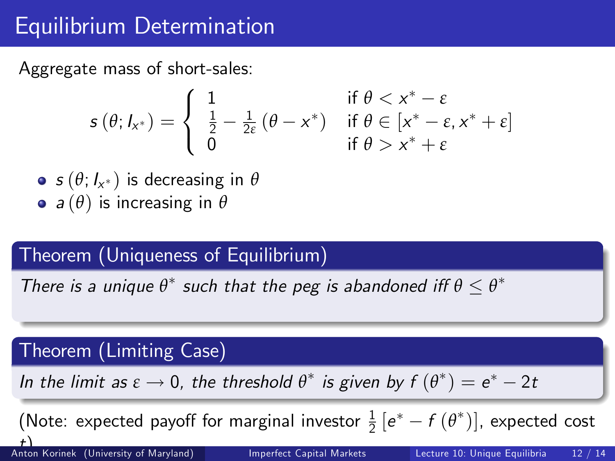# Equilibrium Determination

Aggregate mass of short-sales:

$$
s(\theta; I_{x^*}) = \begin{cases} 1 & \text{if } \theta < x^* - \varepsilon \\ \frac{1}{2} - \frac{1}{2\varepsilon}(\theta - x^*) & \text{if } \theta \in [x^* - \varepsilon, x^* + \varepsilon] \\ 0 & \text{if } \theta > x^* + \varepsilon \end{cases}
$$

 $\bm{s}$   $(\theta; I_{\mathsf{x}^*})$  is decreasing in  $\theta$ a (*θ*) is increasing in *θ*

## Theorem (Uniqueness of Equilibrium)

There is a unique  $\theta^*$  such that the peg is abandoned iff  $\theta \leq \theta^*$ 

## Theorem (Limiting Case)

In the limit as  $\varepsilon \to 0$ , the threshold  $\theta^*$  is given by  $f(\theta^*) = e^* - 2t$ 

(Note: expected payoff for marginal investor  $\frac{1}{2} [e^* - f (\theta^*)]$ , expected cost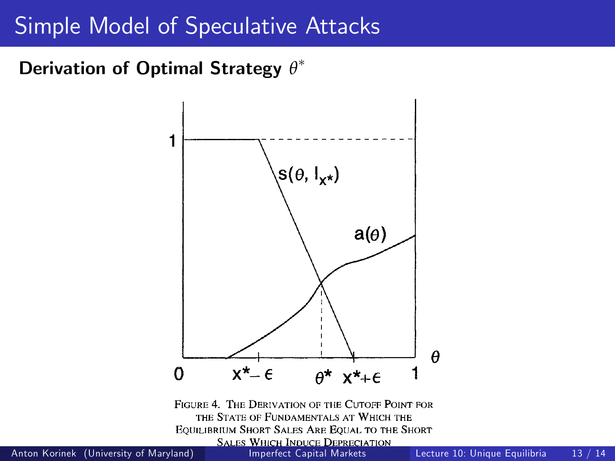## Derivation of Optimal Strategy  $θ^*$



**THE STATE OF FUNDAMENTALS AT WHICH THE EQUILIBRIUM SHORT SALES ARE EQUAL TO THE SHORT** 

Anton Korinek (University of Maryland)

**SALES WHICH INDUCE DEPRECIATION**<br>Imperfect Capital Markets